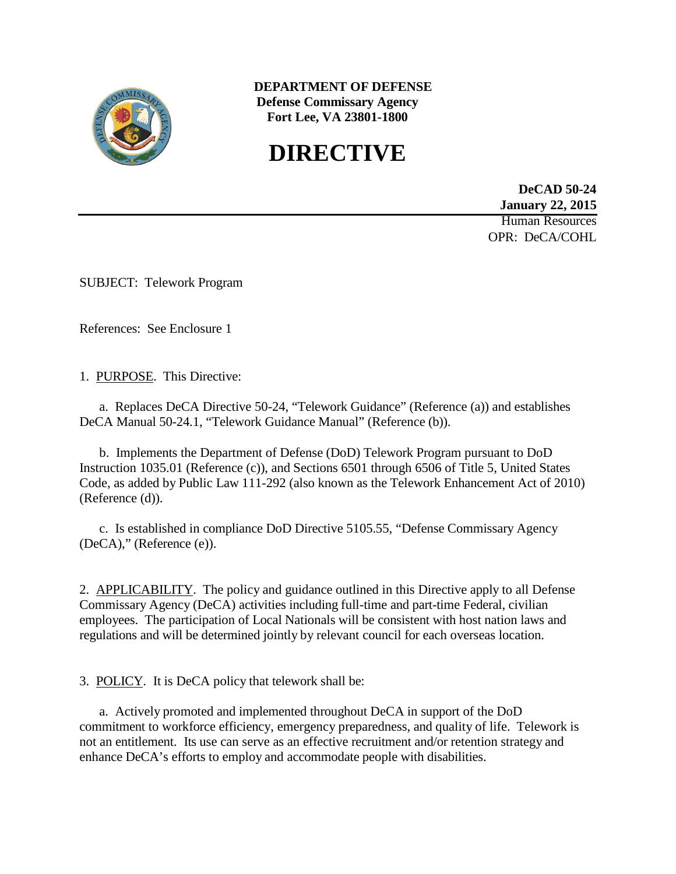

**DEPARTMENT OF DEFENSE Defense Commissary Agency Fort Lee, VA 23801-1800**

# **DIRECTIVE**

**DeCAD 50-24 January 22, 2015** Human Resources OPR: DeCA/COHL

SUBJECT: Telework Program

References: See Enclosure 1

1. PURPOSE. This Directive:

a. Replaces DeCA Directive 50-24, "Telework Guidance" (Reference (a)) and establishes DeCA Manual 50-24.1, "Telework Guidance Manual" (Reference (b)).

b. Implements the Department of Defense (DoD) Telework Program pursuant to DoD Instruction 1035.01 (Reference (c)), and Sections 6501 through 6506 of Title 5, United States Code, as added by Public Law 111-292 (also known as the Telework Enhancement Act of 2010) (Reference (d)).

c. Is established in compliance DoD Directive 5105.55, "Defense Commissary Agency (DeCA)," (Reference (e)).

2. APPLICABILITY. The policy and guidance outlined in this Directive apply to all Defense Commissary Agency (DeCA) activities including full-time and part-time Federal, civilian employees. The participation of Local Nationals will be consistent with host nation laws and regulations and will be determined jointly by relevant council for each overseas location.

3. POLICY. It is DeCA policy that telework shall be:

a. Actively promoted and implemented throughout DeCA in support of the DoD commitment to workforce efficiency, emergency preparedness, and quality of life. Telework is not an entitlement. Its use can serve as an effective recruitment and/or retention strategy and enhance DeCA's efforts to employ and accommodate people with disabilities.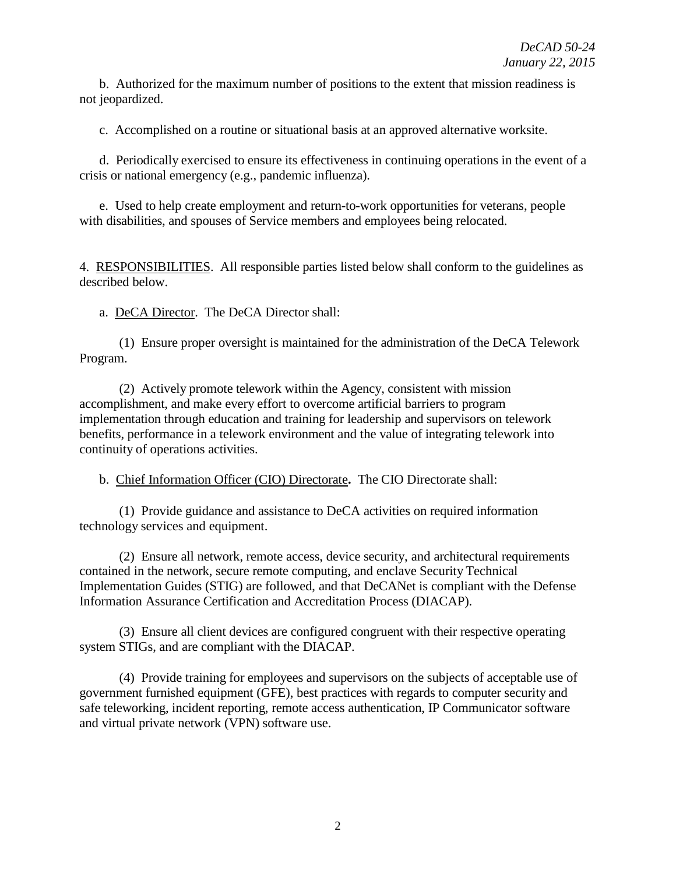b. Authorized for the maximum number of positions to the extent that mission readiness is not jeopardized.

c. Accomplished on a routine or situational basis at an approved alternative worksite.

d. Periodically exercised to ensure its effectiveness in continuing operations in the event of a crisis or national emergency (e.g., pandemic influenza).

e. Used to help create employment and return-to-work opportunities for veterans, people with disabilities, and spouses of Service members and employees being relocated.

4. RESPONSIBILITIES. All responsible parties listed below shall conform to the guidelines as described below.

a. DeCA Director. The DeCA Director shall:

(1) Ensure proper oversight is maintained for the administration of the DeCA Telework Program.

(2) Actively promote telework within the Agency, consistent with mission accomplishment, and make every effort to overcome artificial barriers to program implementation through education and training for leadership and supervisors on telework benefits, performance in a telework environment and the value of integrating telework into continuity of operations activities.

b. Chief Information Officer (CIO) Directorate**.** The CIO Directorate shall:

(1) Provide guidance and assistance to DeCA activities on required information technology services and equipment.

(2) Ensure all network, remote access, device security, and architectural requirements contained in the network, secure remote computing, and enclave Security Technical Implementation Guides (STIG) are followed, and that DeCANet is compliant with the Defense Information Assurance Certification and Accreditation Process (DIACAP).

(3) Ensure all client devices are configured congruent with their respective operating system STIGs, and are compliant with the DIACAP.

(4) Provide training for employees and supervisors on the subjects of acceptable use of government furnished equipment (GFE), best practices with regards to computer security and safe teleworking, incident reporting, remote access authentication, IP Communicator software and virtual private network (VPN) software use.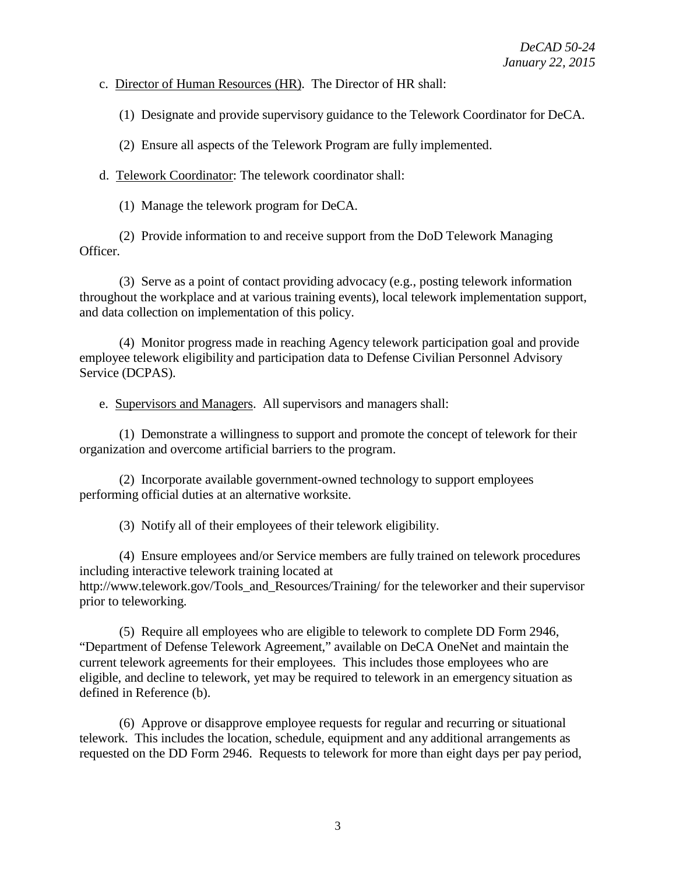c. Director of Human Resources (HR). The Director of HR shall:

(1) Designate and provide supervisory guidance to the Telework Coordinator for DeCA.

(2) Ensure all aspects of the Telework Program are fully implemented.

d. Telework Coordinator: The telework coordinator shall:

(1) Manage the telework program for DeCA.

(2) Provide information to and receive support from the DoD Telework Managing Officer.

(3) Serve as a point of contact providing advocacy (e.g., posting telework information throughout the workplace and at various training events), local telework implementation support, and data collection on implementation of this policy.

(4) Monitor progress made in reaching Agency telework participation goal and provide employee telework eligibility and participation data to Defense Civilian Personnel Advisory Service (DCPAS).

e. Supervisors and Managers. All supervisors and managers shall:

(1) Demonstrate a willingness to support and promote the concept of telework for their organization and overcome artificial barriers to the program.

(2) Incorporate available government-owned technology to support employees performing official duties at an alternative worksite.

(3) Notify all of their employees of their telework eligibility.

(4) Ensure employees and/or Service members are fully trained on telework procedures including interactive telework training located at [http://www.telework.gov/Tools\\_and\\_Resources/Training/](http://www.telework.gov/Tools_and_Resources/Training/) for the teleworker and their supervisor prior to teleworking.

(5) Require all employees who are eligible to telework to complete DD Form 2946, "Department of Defense Telework Agreement," available on DeCA OneNet and maintain the current telework agreements for their employees. This includes those employees who are eligible, and decline to telework, yet may be required to telework in an emergency situation as defined in Reference (b).

(6) Approve or disapprove employee requests for regular and recurring or situational telework. This includes the location, schedule, equipment and any additional arrangements as requested on the DD Form 2946. Requests to telework for more than eight days per pay period,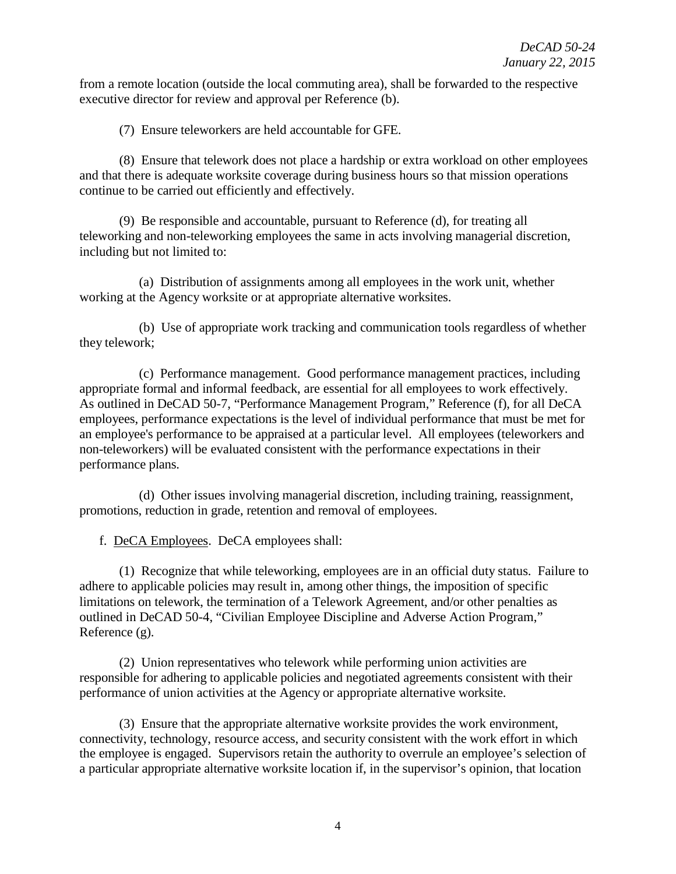from a remote location (outside the local commuting area), shall be forwarded to the respective executive director for review and approval per Reference (b).

(7) Ensure teleworkers are held accountable for GFE.

(8) Ensure that telework does not place a hardship or extra workload on other employees and that there is adequate worksite coverage during business hours so that mission operations continue to be carried out efficiently and effectively.

(9) Be responsible and accountable, pursuant to Reference (d), for treating all teleworking and non-teleworking employees the same in acts involving managerial discretion, including but not limited to:

(a) Distribution of assignments among all employees in the work unit, whether working at the Agency worksite or at appropriate alternative worksites.

(b) Use of appropriate work tracking and communication tools regardless of whether they telework;

(c) Performance management. Good performance management practices, including appropriate formal and informal feedback, are essential for all employees to work effectively. As outlined in DeCAD 50-7, "Performance Management Program," Reference (f), for all DeCA employees, performance expectations is the level of individual performance that must be met for an employee's performance to be appraised at a particular level. All employees (teleworkers and non-teleworkers) will be evaluated consistent with the performance expectations in their performance plans.

(d) Other issues involving managerial discretion, including training, reassignment, promotions, reduction in grade, retention and removal of employees.

f. DeCA Employees. DeCA employees shall:

(1) Recognize that while teleworking, employees are in an official duty status. Failure to adhere to applicable policies may result in, among other things, the imposition of specific limitations on telework, the termination of a Telework Agreement, and/or other penalties as outlined in DeCAD 50-4, "Civilian Employee Discipline and Adverse Action Program," Reference (g).

(2) Union representatives who telework while performing union activities are responsible for adhering to applicable policies and negotiated agreements consistent with their performance of union activities at the Agency or appropriate alternative worksite.

(3) Ensure that the appropriate alternative worksite provides the work environment, connectivity, technology, resource access, and security consistent with the work effort in which the employee is engaged. Supervisors retain the authority to overrule an employee's selection of a particular appropriate alternative worksite location if, in the supervisor's opinion, that location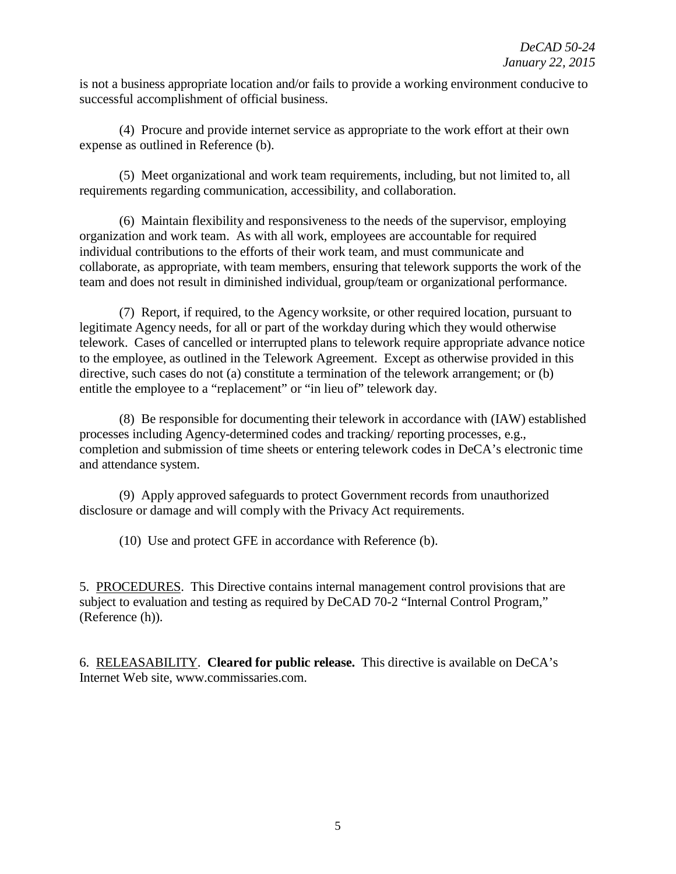is not a business appropriate location and/or fails to provide a working environment conducive to successful accomplishment of official business.

(4) Procure and provide internet service as appropriate to the work effort at their own expense as outlined in Reference (b).

(5) Meet organizational and work team requirements, including, but not limited to, all requirements regarding communication, accessibility, and collaboration.

(6) Maintain flexibility and responsiveness to the needs of the supervisor, employing organization and work team. As with all work, employees are accountable for required individual contributions to the efforts of their work team, and must communicate and collaborate, as appropriate, with team members, ensuring that telework supports the work of the team and does not result in diminished individual, group/team or organizational performance.

(7) Report, if required, to the Agency worksite, or other required location, pursuant to legitimate Agency needs, for all or part of the workday during which they would otherwise telework. Cases of cancelled or interrupted plans to telework require appropriate advance notice to the employee, as outlined in the Telework Agreement. Except as otherwise provided in this directive, such cases do not (a) constitute a termination of the telework arrangement; or (b) entitle the employee to a "replacement" or "in lieu of" telework day.

(8) Be responsible for documenting their telework in accordance with (IAW) established processes including Agency-determined codes and tracking/ reporting processes, e.g., completion and submission of time sheets or entering telework codes in DeCA's electronic time and attendance system.

(9) Apply approved safeguards to protect Government records from unauthorized disclosure or damage and will comply with the Privacy Act requirements.

(10) Use and protect GFE in accordance with Reference (b).

5. PROCEDURES. This Directive contains internal management control provisions that are subject to evaluation and testing as required by DeCAD 70-2 "Internal Control Program," (Reference (h)).

6. RELEASABILITY. **Cleared for public release.** This directive is available on DeCA's Internet Web site, [www.commissaries.com.](http://www.commissaries.com/)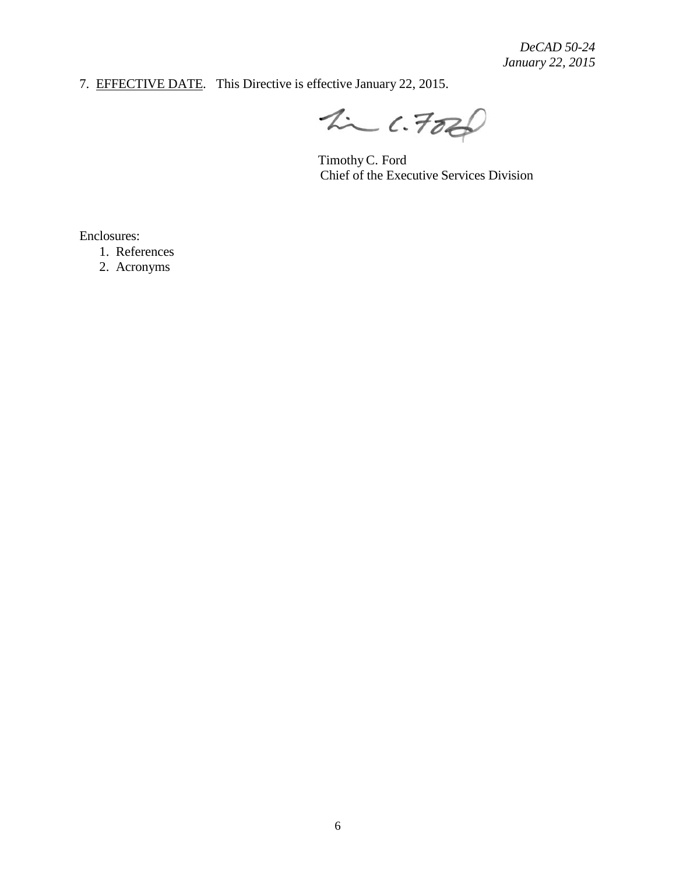7. EFFECTIVE DATE. This Directive is effective January 22, 2015.

 $2226$ 

TimothyC. Ford Chief of the Executive Services Division

Enclosures:

1. References

2. Acronyms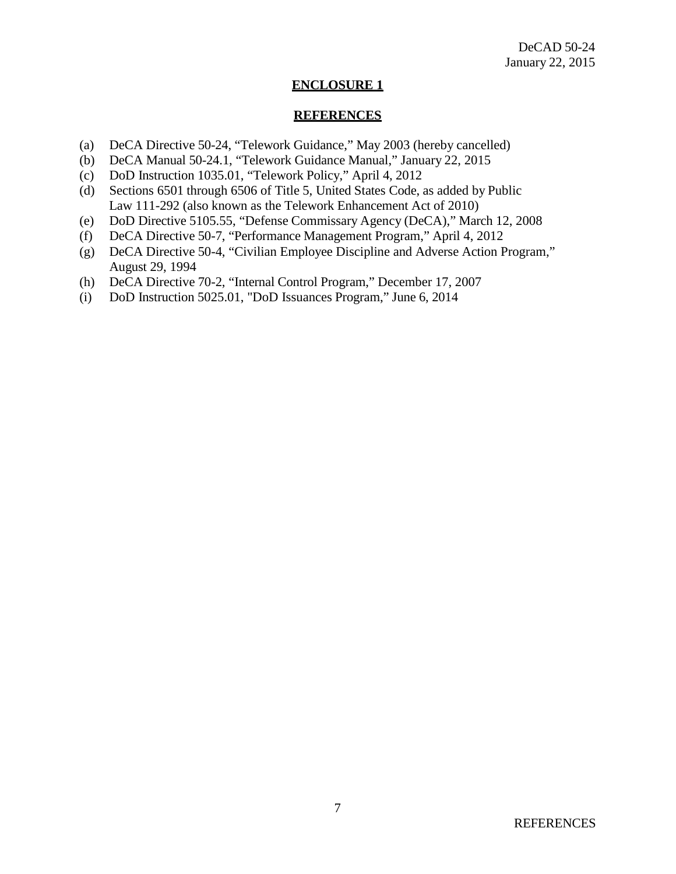#### **ENCLOSURE 1**

#### **REFERENCES**

- (a) DeCA Directive 50-24, "Telework Guidance," May 2003 (hereby cancelled)
- (b) DeCA Manual 50-24.1, "Telework Guidance Manual," January 22, 2015
- (c) DoD Instruction 1035.01, "Telework Policy," April 4, 2012
- (d) Sections 6501 through 6506 of Title 5, United States Code, as added by Public Law 111-292 (also known as the Telework Enhancement Act of 2010)
- (e) DoD Directive 5105.55, "Defense Commissary Agency (DeCA)," March 12, 2008
- (f) DeCA Directive 50-7, "Performance Management Program," April 4, 2012
- (g) DeCA Directive 50-4, "Civilian Employee Discipline and Adverse Action Program," August 29, 1994
- (h) DeCA Directive 70-2, "Internal Control Program," December 17, 2007
- (i) DoD Instruction 5025.01, "DoD Issuances Program," June 6, 2014